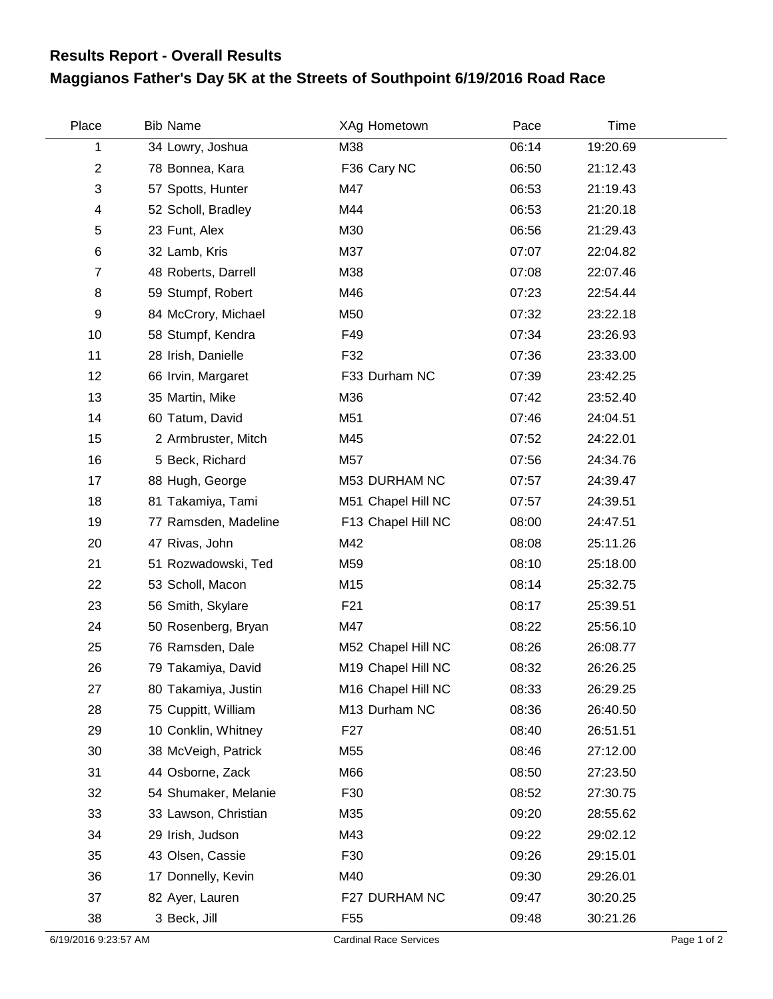## **Maggianos Father's Day 5K at the Streets of Southpoint 6/19/2016 Road Race Results Report - Overall Results**

| Place          | <b>Bib Name</b>      | XAg Hometown       | Pace  | Time     |  |
|----------------|----------------------|--------------------|-------|----------|--|
| 1              | 34 Lowry, Joshua     | M38                | 06:14 | 19:20.69 |  |
| $\overline{2}$ | 78 Bonnea, Kara      | F36 Cary NC        | 06:50 | 21:12.43 |  |
| 3              | 57 Spotts, Hunter    | M47                | 06:53 | 21:19.43 |  |
| 4              | 52 Scholl, Bradley   | M44                | 06:53 | 21:20.18 |  |
| 5              | 23 Funt, Alex        | M30                | 06:56 | 21:29.43 |  |
| 6              | 32 Lamb, Kris        | M37                | 07:07 | 22:04.82 |  |
| $\overline{7}$ | 48 Roberts, Darrell  | M38                | 07:08 | 22:07.46 |  |
| 8              | 59 Stumpf, Robert    | M46                | 07:23 | 22:54.44 |  |
| 9              | 84 McCrory, Michael  | M50                | 07:32 | 23:22.18 |  |
| 10             | 58 Stumpf, Kendra    | F49                | 07:34 | 23:26.93 |  |
| 11             | 28 Irish, Danielle   | F32                | 07:36 | 23:33.00 |  |
| 12             | 66 Irvin, Margaret   | F33 Durham NC      | 07:39 | 23:42.25 |  |
| 13             | 35 Martin, Mike      | M36                | 07:42 | 23:52.40 |  |
| 14             | 60 Tatum, David      | M51                | 07:46 | 24:04.51 |  |
| 15             | 2 Armbruster, Mitch  | M45                | 07:52 | 24:22.01 |  |
| 16             | 5 Beck, Richard      | M57                | 07:56 | 24:34.76 |  |
| 17             | 88 Hugh, George      | M53 DURHAM NC      | 07:57 | 24:39.47 |  |
| 18             | 81 Takamiya, Tami    | M51 Chapel Hill NC | 07:57 | 24:39.51 |  |
| 19             | 77 Ramsden, Madeline | F13 Chapel Hill NC | 08:00 | 24:47.51 |  |
| 20             | 47 Rivas, John       | M42                | 08:08 | 25:11.26 |  |
| 21             | 51 Rozwadowski, Ted  | M59                | 08:10 | 25:18.00 |  |
| 22             | 53 Scholl, Macon     | M15                | 08:14 | 25:32.75 |  |
| 23             | 56 Smith, Skylare    | F <sub>21</sub>    | 08:17 | 25:39.51 |  |
| 24             | 50 Rosenberg, Bryan  | M47                | 08:22 | 25:56.10 |  |
| 25             | 76 Ramsden, Dale     | M52 Chapel Hill NC | 08:26 | 26:08.77 |  |
| 26             | 79 Takamiya, David   | M19 Chapel Hill NC | 08:32 | 26:26.25 |  |
| 27             | 80 Takamiya, Justin  | M16 Chapel Hill NC | 08:33 | 26:29.25 |  |
| 28             | 75 Cuppitt, William  | M13 Durham NC      | 08:36 | 26:40.50 |  |
| 29             | 10 Conklin, Whitney  | F <sub>27</sub>    | 08:40 | 26:51.51 |  |
| 30             | 38 McVeigh, Patrick  | M55                | 08:46 | 27:12.00 |  |
| 31             | 44 Osborne, Zack     | M66                | 08:50 | 27:23.50 |  |
| 32             | 54 Shumaker, Melanie | F30                | 08:52 | 27:30.75 |  |
| 33             | 33 Lawson, Christian | M35                | 09:20 | 28:55.62 |  |
| 34             | 29 Irish, Judson     | M43                | 09:22 | 29:02.12 |  |
| 35             | 43 Olsen, Cassie     | F30                | 09:26 | 29:15.01 |  |
| 36             | 17 Donnelly, Kevin   | M40                | 09:30 | 29:26.01 |  |
| 37             | 82 Ayer, Lauren      | F27 DURHAM NC      | 09:47 | 30:20.25 |  |
| 38             | 3 Beck, Jill         | F55                | 09:48 | 30:21.26 |  |